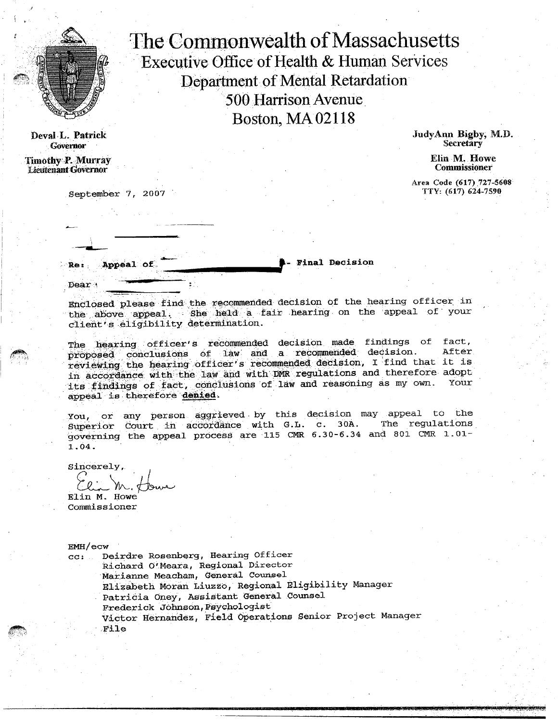

Deval L. Patrick **Governor** 

Timothy P. Murray Lieutenant Governor

Dear

September 7, 2007

The Commonwealth of Massachusetts Executive Office of Health *&* Human services Department of Mental Retardation 500 Harrison Avenue Boston, MA 02118

> JudyAnn Rigby, M.D. Secretary

> > Elin M. Howe Commissioner

Area Code (617) 727-5608 TTY: (617) 624-7590

**Appeal of** ReFinal Decision

--- Enclosed please find the recommended decision of the hearing officer in the above appeal. She held a fair hearing on the appeal of your client's eligibility aetermination.

The hearing officer's recommended decision made findings of fact,  $propoed$  conclusions of law and a recommended decision. reviewing the hearing officer's recommended decision, I find that it is in accordance with the law and with DMR regulations and therefore adopt appeal is therefore denied. its findings of fact, conclusions of law and reasoning as my own.

You, or any person aggrieved• by this decision may appeal to the Superior Court in accordance with G.L. c. 30A. The regulations governing the appeal process are 115 CMR  $6.30-6.34$  and 801 CMR  $1.01-$ 1.04.

Sincerely,

Elin M. Howe Commissioner

EMH/ecw

cc: Deirdre Rosenberg, Hearing Officer Richard O'Meara, Regional Director Marianne Meacham, General Counsel Elizabeth Moran Liuzzo, Regional Eligibility Manager Patricia Oney, Assistant General Counsel Frederick Johnson,Psychologist Victor Hernandez, Field Operations Senior Project Manager File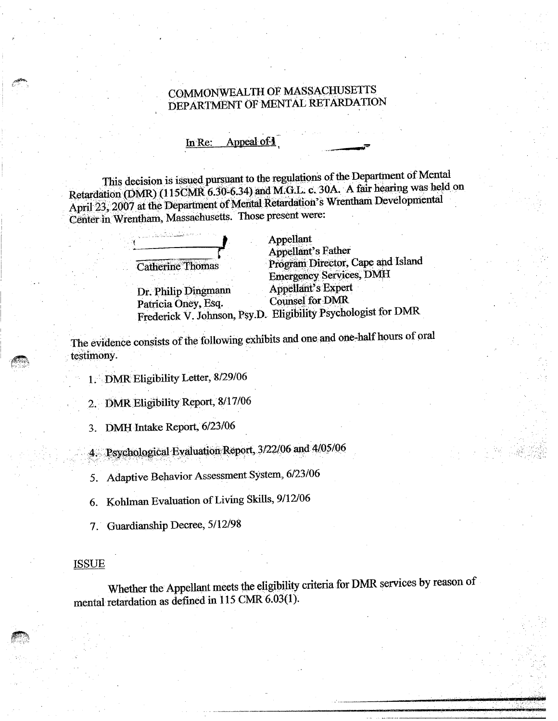## COMMONWEALTH OF MASSACHUSETTS DEPARTMENT OF MENTAL RETARDATION

In Re: Appeal of 1

This decision is issued pursuant to the regulations of the Department of Mental Retardation (DMR) (115CMR 6.30-6.34) and M.G.L. c. 30A. A fair hearing was held on April 23, 2007 at the Department of Mental Retardation's Wrentham Developmental Center in Wrentham, Massachusetts. Those present were:

| iomas<br>$\mathcal{C}^{\mathrm{A}\mathrm{p},\mathrm{c}}$<br>rт<br>herine .<br>ı٦ |  |
|----------------------------------------------------------------------------------|--|

Dr. Philip Dingmann Appellant's Expertise of the Appellant's Expertise of the Appellant's Expertise of the Appellant's Experiment of the Appellant's Experiment of the Appellant's Experiment of the Appellant's Experiment of Patricia Oney, Esq. Counsel for DMR

**Plant**<br> **Appellant**'s Father Program Director, Cape and Island Emergency Services, DMH Frederick V. Johnson, Psy.D. Eligibility Psychologist for DMR

The evidence consists of the following exhibits and one and one-half hours of oral testimony.

1. DMR Eligibility Letter, 8/29/06

2. DMR Eligibility Report, 8/17/06

3. DMH Intake Report, 6/23/06

Psyphological Evaluation Report, 3/22/06 and 4/05/06

5. Adaptive Behavior Assessment System, 6/23/06

6. Kohlman Evaluation of Living Skills, 9/12/06

7. Guardianship Decree.

#### ISSUE

Whether the Appellant meets the eligibility criteria for DMR services by reason of mental retardation as defined in 115 CMR 6.03(1).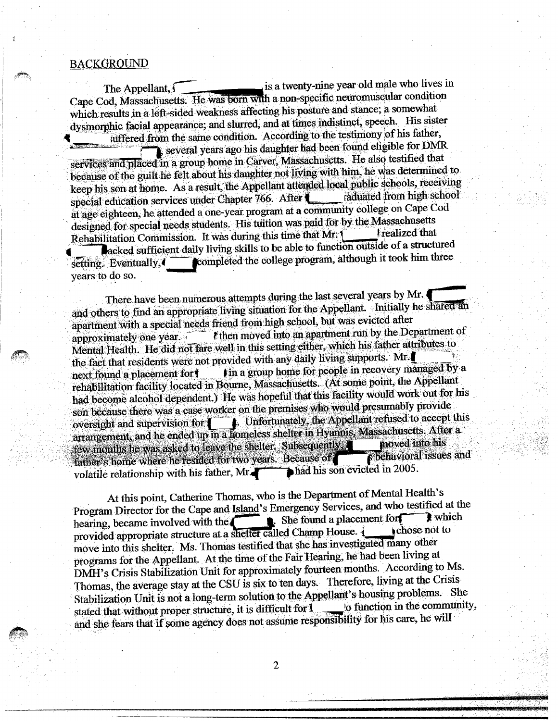#### **BACKGROUND**

years to do so.

suffered from the same condition. According to the testimony of his father, The Appellant, is a twenty-nine year old male who lives in Cape Cod, Massachusetts. He was born with a non-specific neuromuscular condition which results in a left-sided weakness affecting his posture and stance; a somewhat **4** dysmorphic facial appearance; and slurred, and at times indistinct, speech. His sister

several years ago his daughter had been found eligible for DMR. services and placedin a group home in Carver, Massachusetts. He also testified that because of the guilt he felt about his daughter not living with him, he was determined to keep his son at home. As a result, the Appellant attended local public schools, receiving<br>stated from high school special education services under Chapter 766. After  $\blacksquare$ at age eighteen, he attended a one-year program at a community college on Cape Cod designed for special needs students. His tuition was paid for by the Massachusetts Rehabilitation Commission. It was during this time that Mr. [ **P** acked sufficient daily living skills to be able to function outside of a structured  $s$  Eventually,  $4$  completed the college program, although it took him three

There have been numerous attempts during the last several years by Mr. and others to find an appropriate living situation for the Appellant. Initially he shared an apartment with a special needs friend from high school, but was evicted after approximately one year  $\epsilon$  then moved into an apartment run by the Department of Mental Health. He did not fare well in this setting either, which his father attributes to the fact that residents were not provided with any daily living supports. **Mr.1** next found a placement for  $\parallel$  in a group home for people in recovery managed by a rehabilitation facility located in Bourne, Massachusetts. (At some point, the Appellant had become alcohol dependent) He was hopeful that this facility would work out for his son because there was a case worker on the premises who would presumably provide oversight and supervision for  $\Box$  **I.** Unfortunately, the Appellant refused to accept this arrangement, and he ended up in a homeless shelter in Hyannis, Massachusetts. After a rehabilitation facility located in Bourne, Massachusetts. (At some point, the Appendix<br>had become alcohol dependent.) He was hopeful that this facility would work out for l<br>son because there was a case worker on the premis few months he was asked to leave the shelter. Subsequently **the moved into his** and father s home where he resided for two years. Because of **the property behaviors** volatile relationship with his father. Mr  $\blacktriangleright$  had his son evicted in 2005. volatile relationship with his father, Mr.

At this point, Catherine Thomas, who is the Department of Mental Health's Program Director for the Cape and Island's Emergency Services, and who testified at the hearing, became involved with the hearing, became involved with the shelter called Champ House. include the provided appropriate structure at a shelter called Champ House. move into this shelter. Ms. Thomas testified that she has investigated many other programs for the Appellant. At the time of the Fair Hearing, he had been living at DMH's Crisis Stabilization Unit for approximately fourteen months. According to Ms. Thomas, the average stay at the CSU is six to ten days. Therefore, living at the Crisis Stabilization Unit is not a long-term solution to the Appellant's housing problems. She<br>stated that without proper structure, it is difficult for 1 to function in the community, stated that without proper structure, it is difficult for **I** and she fears that if some agency does not assume responsibility for his care, he will

2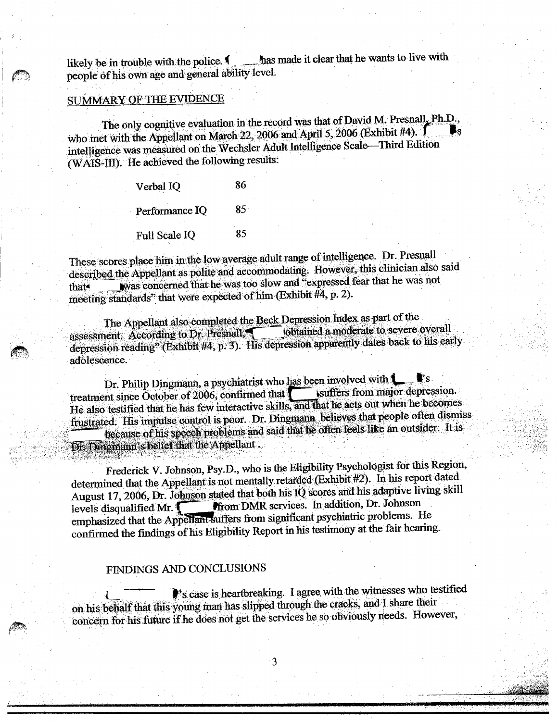likely be in trouble with the police.  $\blacksquare$  has made it clear that he wants to live with people of his own age and general ability level.

# SUMMARY OF THE EVIDENCE

The only cognitive evaluation in the record was that of David M. Presnall, Ph.D., who met with the Appellant on March  $22$ , 2006 and April 5, 2006 (Exhibit #4). intelligence was measured on the Wechsler Adult Intelligence Scale—Third Edition (WAIS-III). He achieved the following results'

> Verbal IQ 86 Performance IQ 85 Full Scale IQ 85

These scores place him in the low average adult range of intelligence. Dr. Presnall described the Appellant as polite and accommodating. However, this clinician also said that\* was concerned that he was too slow and "expressed fear that he was not meeting standards" that were expected of him (Exhibit #4, p. 2).

The Appellant also completed the Beck Depression Index as part of the<br>next According to Dr. Presnall assessment  $\angle$  According to Dr. Presnall; constant  $\triangle$  obtained a moderate to severe overall depression reading" (Exhibit  $\#4$ , p. 3). His depression apparently dates back to his early adolescence.

Dr. Philip Dingmann, a psychiatrist who has been involved with  $\bullet$  s sets from major depression. treatment since October of 2006, confirmed that  $\sqrt{\phantom{a}}$ He also testified that he has few interactive skills, and that he acts out when he becomes frustrated. His impulse control is poor. Dr. Dingmann believes that people often dismiss because of his speech problems and said that he often feels like an outsider. It is Dr. Dingmann's belief that the Appellant .

Frederick V. Johnson, Psy.D., who is the Eligibility Psychologist for this Region, determined that the Appellant is not mentally retarded (Exhibit #2). In his report dated August 17, 2006, Dr. Johnson stated that both his IQ scores and his adaptive living skill levels disqualified Mr. **The Computer of Services**. In addition, Dr. Johnson emphasized that the Appeliant suffers from significant psychiatric problems. He confirmed the findings of his Eligibility Report in his testimony at the fair hearing.

## FINDINGS AND CONCLUSIONS

's case is heartbreaking. I agree with the witnesses who testified on his behalf that this young man has slipped through the cracks, and I share their concern for his future if he does not get the services he so obviously needs. However,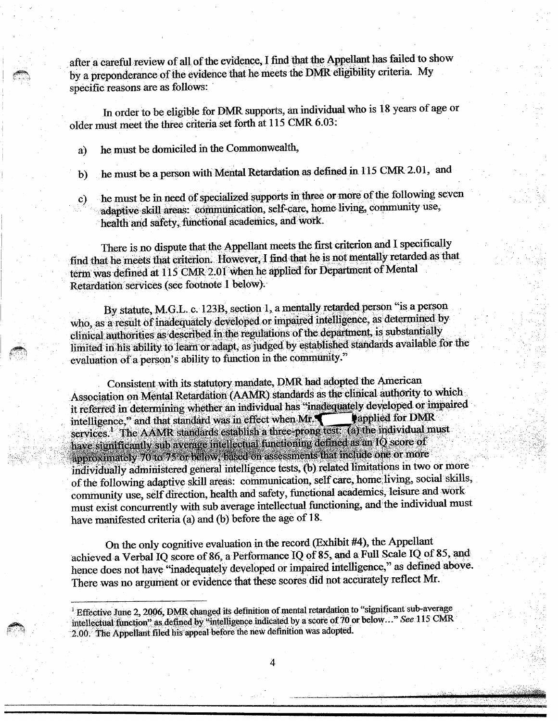after a careful review of all of the evidence, I find that the Appellant has failed to show by a preponderance of the evidence that he meets the DMR eligibility criteria. My specific reasons are as follows:

In order to be eligible for DMR supports, an individual who is 18 years of age or older must meet the three criteria set forth at 115 CMR 6.03:

a) he must be domiciled in the Commonwealth,

b) he must be a person with Mental Retardation as defined in 115 CMR 2.01, and

c) he must be in need of specialized supports in three or more of the following seven adaptive skill areas: communication, self-care, home living, community use, health and safety, functional academics, and Work.

There is no dispute that the Appellant meets the first criterion and I specifically find that he meets that criterion. However, I find that he is not mentally retarded as that term was defined at 115 CMR 2.01 when he applied for Department of Mental Retardation services (see footnote 1 below).

By statute, M.G.L. c. 123B, section 1, a mentally retarded person "is a person who, as a result of inadequately developed or impaired intelligence, as determined by clinical authorities as described in the regulations of the department, is substantially limited in his ability to learn or adapt, as judged by established standards available for the evaluation of a person's ability to function in the community."

Consistent with its statutory mandate, DMR had adopted the American Association on Mental Retardation (AAMR) standards as the clinical authority to which it referred in determining whether an individual has "inadequately developed or impaired intelligence," and that standard was in effect when  $Mr$ . elow).<br>
ction 1, a mentally retarded persoped or impaired intelligence, as<br>
regulations of the department, is<br>
as judged by established standar<br>
ction in the community."<br>
mandate, DMR had adopted the *A*<br>
AMR) standards as **Papplied for DMR** services. The AAMR standards establish a three-prong test. (a) the individual must services.<sup>1</sup> The AAMR standards establish a three-prong test. (a) the individual have significantly sub average intellectual functioning defined as an  $IQ$  score of early sub average intercepting enteriously that include one or more<br>ely 70 to 75 or below, based on assessments that include one or more indiVidually administered general intelligence tests, (b) related limitations in two or more of the following adaptive skill areas: communication, self care, home living, social skills, community use, self direction, health and safety, functional academics, leisure and work must exist concurrently with sub average intellectual functioning, and the individual must have manifested criteria (a) and (b) before the age of 18.

On the only cognitive evaluation in the record (Exhibit #4), the Appellant achieved a Verbal IQ score of 86, a Performance IQ of 85, and a. Full Scale IQ of 85, and hence does not have "inadequately developed or impaired intelligence," as defined above. There was no argument or evidence that these scores did not accurately reflect Mr.

4

<sup>&</sup>lt;sup>1</sup> Effective June 2, 2006, DMR changed its definition of mental retardation to "significant sub-average intellectual function" as,defined by "intelligence indicated by a score of 70 or below..." . *See* 115 CMR 2.00. The Appellant filed his appeal before the new definition was adopted.